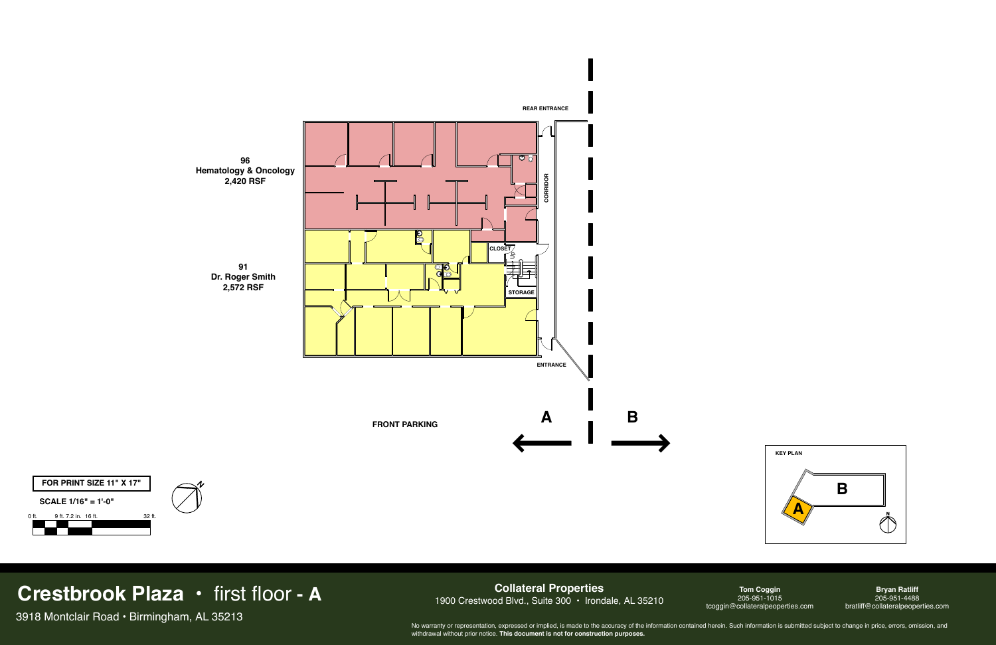

### **Collateral Properties** 1900 Crestwood Blvd., Suite 300 · Irondale, AL 35210

## **Crestbrook Plaza •** first floor **- A**

3918 Montclair Road • Birmingham, AL 35213

**Tom Coggin** 205-951-1015 tcoggin@collateralpeoperties.com

**Bryan Ratliff** 205-951-4488 bratliff@collateralpeoperties.com



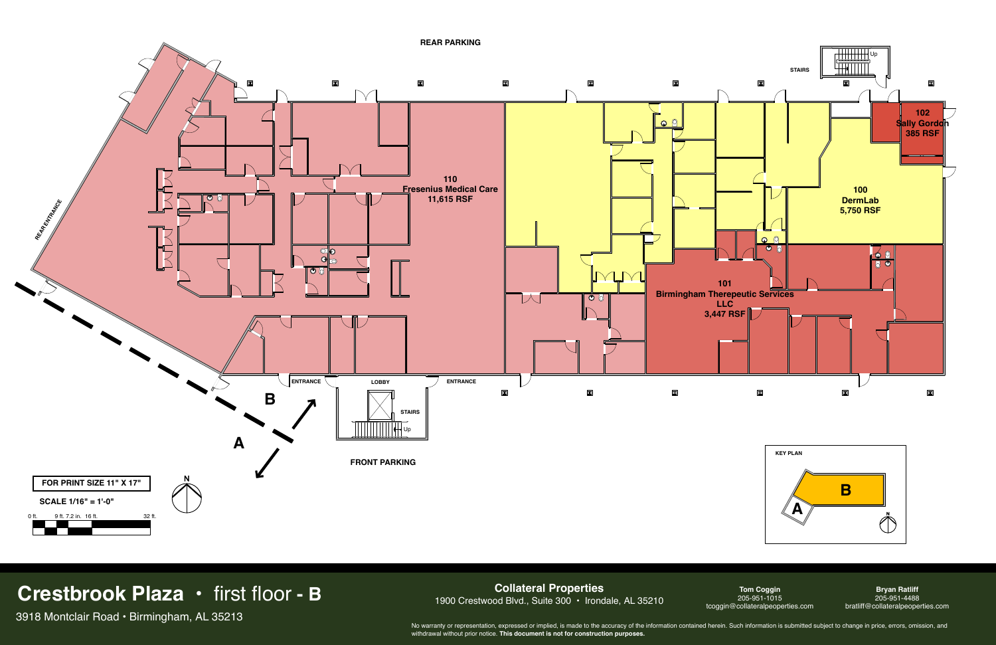**Collateral Properties** 1900 Crestwood Blvd., Suite 300 · Irondale, AL 35210



## **Crestbrook Plaza •** first floor **- B**

3918 Montclair Road • Birmingham, AL 35213

**Tom Coggin** 205-951-1015 tcoggin@collateralpeoperties.com

**Bryan Ratliff** 205-951-4488 bratliff@collateralpeoperties.com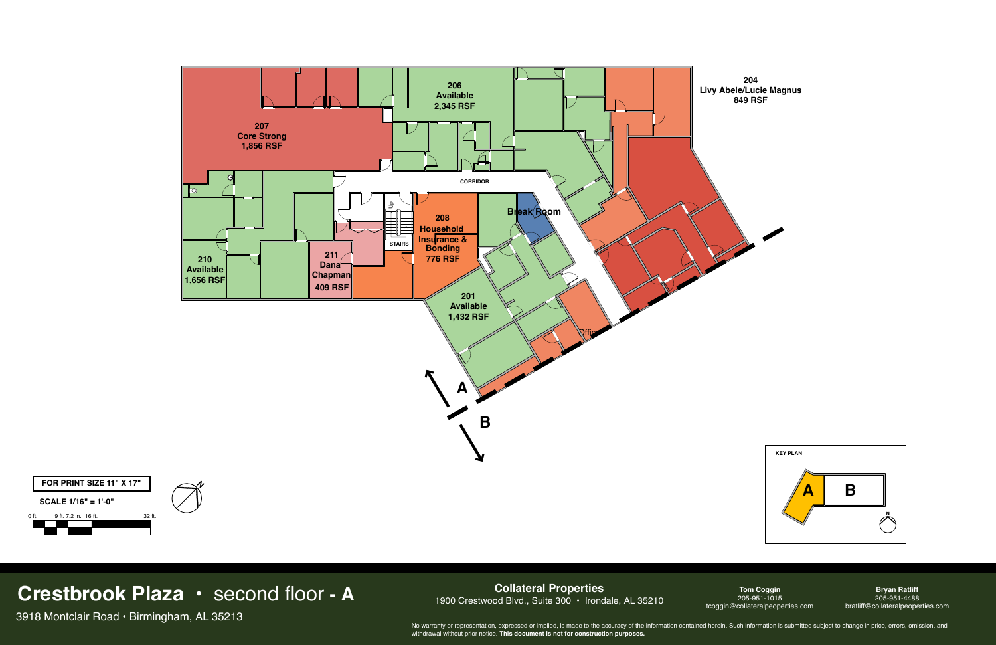**Collateral Properties** 1900 Crestwood Blvd., Suite 300 • Irondale, AL 35210



### **Crestbrook Plaza •** second floor **- A**

3918 Montclair Road • Birmingham, AL 35213

**Tom Coggin** 205-951-1015 tcoggin@collateralpeoperties.com



**Bryan Ratliff** 205-951-4488 bratliff@collateralpeoperties.com